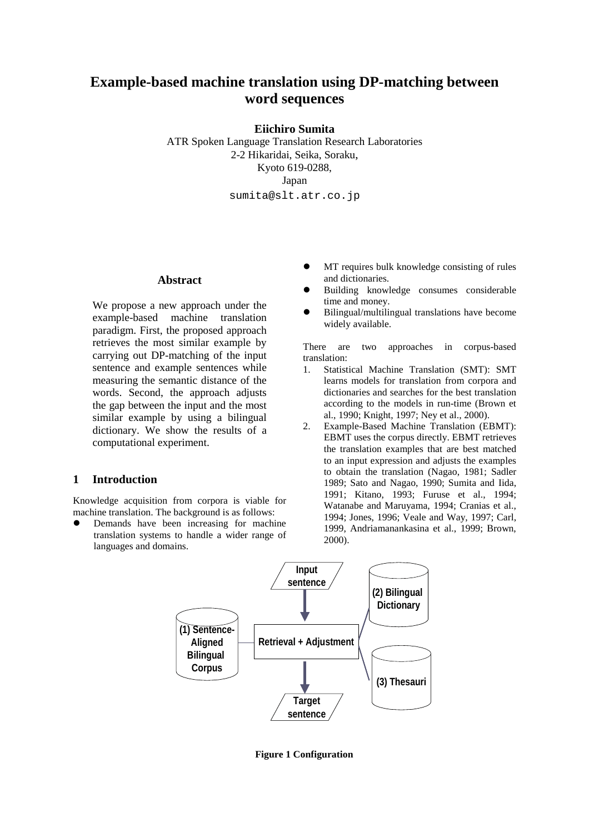# **Example-based machine translation using DP-matching between word sequences**

**Eiichiro Sumita**

ATR Spoken Language Translation Research Laboratories 2-2 Hikaridai, Seika, Soraku, Kyoto 619-0288, Japan sumita@slt.atr.co.jp

# **Abstract**

We propose a new approach under the example-based machine translation paradigm. First, the proposed approach retrieves the most similar example by carrying out DP-matching of the input sentence and example sentences while measuring the semantic distance of the words. Second, the approach adjusts the gap between the input and the most similar example by using a bilingual dictionary. We show the results of a computational experiment.

# **1 Introduction**

Knowledge acquisition from corpora is viable for machine translation. The background is as follows:

 $\bullet$  Demands have been increasing for machine translation systems to handle a wider range of languages and domains.

- $\bullet$  MT requires bulk knowledge consisting of rules and dictionaries.
- $\bullet$  Building knowledge consumes considerable time and money.
- $\bullet$  Bilingual/multilingual translations have become widely available.

There are two approaches in corpus-based translation:

- 1. Statistical Machine Translation (SMT): SMT learns models for translation from corpora and dictionaries and searches for the best translation according to the models in run-time (Brown et al., 1990; Knight, 1997; Ney et al., 2000).
- 2. Example-Based Machine Translation (EBMT): EBMT uses the corpus directly. EBMT retrieves the translation examples that are best matched to an input expression and adjusts the examples to obtain the translation (Nagao, 1981; Sadler 1989; Sato and Nagao, 1990; Sumita and Iida, 1991; Kitano, 1993; Furuse et al., 1994; Watanabe and Maruyama, 1994; Cranias et al., 1994; Jones, 1996; Veale and Way, 1997; Carl, 1999, Andriamanankasina et al., 1999; Brown, 2000).



**Figure 1 Configuration**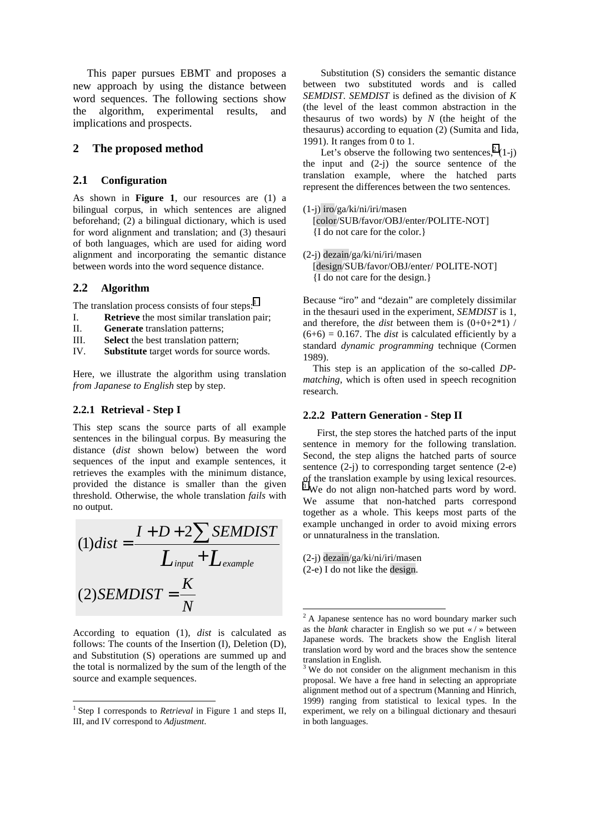This paper pursues EBMT and proposes a new approach by using the distance between word sequences. The following sections show the algorithm, experimental results, and implications and prospects.

#### **2 The proposed method**

#### **2.1 Configuration**

As shown in **Figure 1**, our resources are (1) a bilingual corpus, in which sentences are aligned beforehand; (2) a bilingual dictionary, which is used for word alignment and translation; and (3) thesauri of both languages, which are used for aiding word alignment and incorporating the semantic distance between words into the word sequence distance.

#### **2.2 Algorithm**

The translation process consists of four steps: $<sup>1</sup>$ </sup>

- I. **Retrieve** the most similar translation pair;
- II. **Generate** translation patterns;
- III. **Select** the best translation pattern;
- IV. **Substitute** target words for source words.

Here, we illustrate the algorithm using translation *from Japanese to English* step by step.

#### **2.2.1 Retrieval - Step I**

This step scans the source parts of all example sentences in the bilingual corpus. By measuring the distance (*dist* shown below) between the word sequences of the input and example sentences, it retrieves the examples with the minimum distance, provided the distance is smaller than the given threshold. Otherwise, the whole translation *fails* with no output.

$$
(1)dist = \frac{I + D + 2\sum SEMDIST}{L_{input} + L_{example}}
$$

$$
(2)SEMDIST = \frac{K}{N}
$$

According to equation (1), *dist* is calculated as follows: The counts of the Insertion (I), Deletion (D), and Substitution (S) operations are summed up and the total is normalized by the sum of the length of the source and example sequences.

l

Substitution (S) considers the semantic distance between two substituted words and is called *SEMDIST*. *SEMDIST* is defined as the division of *K* (the level of the least common abstraction in the thesaurus of two words) by *N* (the height of the thesaurus) according to equation (2) (Sumita and Iida, 1991). It ranges from 0 to 1.

Let's observe the following two sentences,<sup>2</sup> (1-j) the input and  $(2-i)$  the source sentence of the translation example, where the hatched parts represent the differences between the two sentences.

- (1-j) iro/ga/ki/ni/iri/masen [color/SUB/favor/OBJ/enter/POLITE-NOT] {I do not care for the color.}
- (2-j) dezain/ga/ki/ni/iri/masen [design/SUB/favor/OBJ/enter/ POLITE-NOT] {I do not care for the design.}

Because "iro" and "dezain" are completely dissimilar in the thesauri used in the experiment, *SEMDIST* is 1, and therefore, the *dist* between them is  $(0+0+2*1)$  /  $(6+6) = 0.167$ . The *dist* is calculated efficiently by a standard *dynamic programming* technique (Cormen 1989).

This step is an application of the so-called *DPmatching*, which is often used in speech recognition research.

#### **2.2.2 Pattern Generation - Step II**

First, the step stores the hatched parts of the input sentence in memory for the following translation. Second, the step aligns the hatched parts of source sentence  $(2-i)$  to corresponding target sentence  $(2-e)$ of the translation example by using lexical resources. <sup>3</sup> We do not align non-hatched parts word by word. We assume that non-hatched parts correspond together as a whole. This keeps most parts of the example unchanged in order to avoid mixing errors or unnaturalness in the translation.

(2-j) dezain/ga/ki/ni/iri/masen (2-e) I do not like the design.

<sup>&</sup>lt;sup>1</sup> Step I corresponds to *Retrieval* in Figure 1 and steps II, III, and IV correspond to *Adjustment*.

<sup>&</sup>lt;sup>2</sup> A Japanese sentence has no word boundary marker such as the *blank* character in English so we put « / » between Japanese words. The brackets show the English literal translation word by word and the braces show the sentence translation in English.

<sup>&</sup>lt;sup>3</sup> We do not consider on the alignment mechanism in this proposal. We have a free hand in selecting an appropriate alignment method out of a spectrum (Manning and Hinrich, 1999) ranging from statistical to lexical types. In the experiment, we rely on a bilingual dictionary and thesauri in both languages.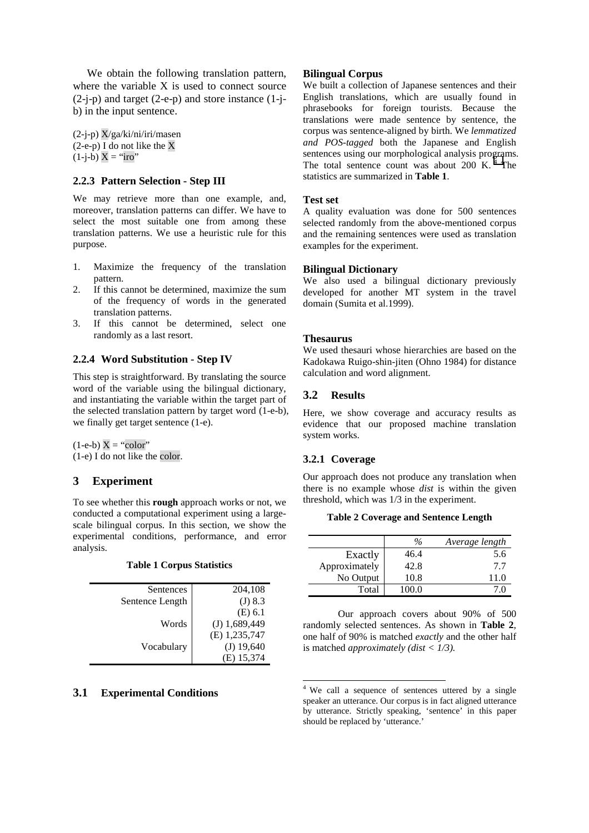We obtain the following translation pattern, where the variable X is used to connect source (2-j-p) and target (2-e-p) and store instance (1-jb) in the input sentence.

 $(2-i-p)$  X/ga/ki/ni/iri/masen  $(2-e-p)$  I do not like the X  $(1-j-b) X = "iro"$ 

#### **2.2.3 Pattern Selection - Step III**

We may retrieve more than one example, and, moreover, translation patterns can differ. We have to select the most suitable one from among these translation patterns. We use a heuristic rule for this purpose.

- 1. Maximize the frequency of the translation pattern.
- 2. If this cannot be determined, maximize the sum of the frequency of words in the generated translation patterns.
- 3. If this cannot be determined, select one randomly as a last resort.

#### **2.2.4 Word Substitution - Step IV**

This step is straightforward. By translating the source word of the variable using the bilingual dictionary, and instantiating the variable within the target part of the selected translation pattern by target word (1-e-b), we finally get target sentence (1-e).

 $(1-e-b) X = "color"$ (1-e) I do not like the color.

### **3 Experiment**

To see whether this **rough** approach works or not, we conducted a computational experiment using a largescale bilingual corpus. In this section, we show the experimental conditions, performance, and error analysis.

|  |  | <b>Table 1 Corpus Statistics</b> |
|--|--|----------------------------------|
|--|--|----------------------------------|

| Sentences       | 204,108         |
|-----------------|-----------------|
| Sentence Length | (J) 8.3         |
|                 | $(E)$ 6.1       |
| Words           | $(J)$ 1,689,449 |
|                 | (E) 1,235,747   |
| Vocabulary      | $(J)$ 19,640    |
|                 | 15,374<br>Е.    |

#### **3.1 Experimental Conditions**

#### **Bilingual Corpus**

We built a collection of Japanese sentences and their English translations, which are usually found in phrasebooks for foreign tourists. Because the translations were made sentence by sentence, the corpus was sentence-aligned by birth. We *lemmatized and POS-tagged* both the Japanese and English sentences using our morphological analysis programs. The total sentence count was about 200 K.<sup>4</sup> The statistics are summarized in **Table 1**.

#### **Test set**

A quality evaluation was done for 500 sentences selected randomly from the above-mentioned corpus and the remaining sentences were used as translation examples for the experiment.

#### **Bilingual Dictionary**

We also used a bilingual dictionary previously developed for another MT system in the travel domain (Sumita et al.1999).

#### **Thesaurus**

We used thesauri whose hierarchies are based on the Kadokawa Ruigo-shin-jiten (Ohno 1984) for distance calculation and word alignment.

# **3.2 Results**

Here, we show coverage and accuracy results as evidence that our proposed machine translation system works.

#### **3.2.1 Coverage**

l

Our approach does not produce any translation when there is no example whose *dist* is within the given threshold, which was 1/3 in the experiment.

**Table 2 Coverage and Sentence Length** 

|               | $\frac{0}{6}$ | Average length |
|---------------|---------------|----------------|
| Exactly       | 46.4          | 5.6            |
| Approximately | 42.8          | 7.7            |
| No Output     | 10.8          | 11.0           |
| Total         | 100.0         |                |

 Our approach covers about 90% of 500 randomly selected sentences. As shown in **Table 2**, one half of 90% is matched *exactly* and the other half is matched *approximately (dist < 1/3).* 

<sup>4</sup> We call a sequence of sentences uttered by a single speaker an utterance. Our corpus is in fact aligned utterance by utterance. Strictly speaking, 'sentence' in this paper should be replaced by 'utterance.'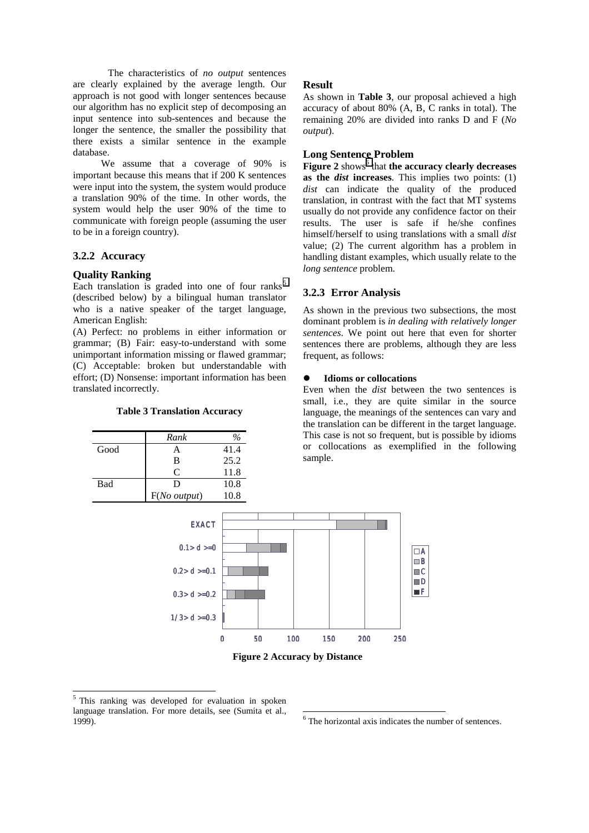The characteristics of *no output* sentences are clearly explained by the average length. Our approach is not good with longer sentences because our algorithm has no explicit step of decomposing an input sentence into sub-sentences and because the longer the sentence, the smaller the possibility that there exists a similar sentence in the example database.

We assume that a coverage of 90% is important because this means that if 200 K sentences were input into the system, the system would produce a translation 90% of the time. In other words, the system would help the user 90% of the time to communicate with foreign people (assuming the user to be in a foreign country).

### **3.2.2 Accuracy**

#### **Quality Ranking**

Each translation is graded into one of four ranks<sup>5</sup> (described below) by a bilingual human translator who is a native speaker of the target language, American English:

(A) Perfect: no problems in either information or grammar; (B) Fair: easy-to-understand with some unimportant information missing or flawed grammar; (C) Acceptable: broken but understandable with effort; (D) Nonsense: important information has been translated incorrectly.

#### **Table 3 Translation Accuracy**

|      | Rank                     |      |
|------|--------------------------|------|
| Good | А                        | 41.4 |
|      | B                        | 25.2 |
|      | C                        | 11.8 |
| Bad  | D                        | 10.8 |
|      | $F(No$ <i>output</i> $)$ | 10.8 |

#### **Result**

As shown in **Table 3**, our proposal achieved a high accuracy of about 80% (A, B, C ranks in total). The remaining 20% are divided into ranks D and F (*No output*).

# **Long Sentence Problem**

Figure 2 shows<sup>6</sup> that the accuracy clearly decreases **as the** *dist* **increases**. This implies two points: (1) *dist* can indicate the quality of the produced translation, in contrast with the fact that MT systems usually do not provide any confidence factor on their results. The user is safe if he/she confines himself/herself to using translations with a small *dist* value; (2) The current algorithm has a problem in handling distant examples, which usually relate to the *long sentence* problem.

### **3.2.3 Error Analysis**

As shown in the previous two subsections, the most dominant problem is *in dealing with relatively longer sentences*. We point out here that even for shorter sentences there are problems, although they are less frequent, as follows:

#### $\bullet$ **Idioms or collocations**

Even when the *dist* between the two sentences is small, i.e., they are quite similar in the source language, the meanings of the sentences can vary and the translation can be different in the target language. This case is not so frequent, but is possible by idioms or collocations as exemplified in the following sample.



**Figure 2 Accuracy by Distance** 

l

6 The horizontal axis indicates the number of sentences.

<sup>5</sup> This ranking was developed for evaluation in spoken language translation. For more details, see (Sumita et al., 1999).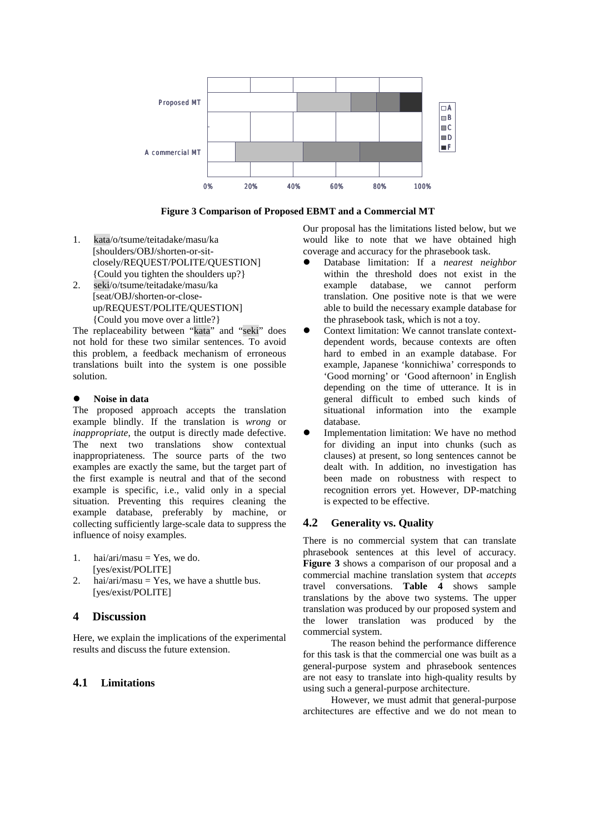

**Figure 3 Comparison of Proposed EBMT and a Commercial MT** 

- 1. kata/o/tsume/teitadake/masu/ka [shoulders/OBJ/shorten-or-sitclosely/REQUEST/POLITE/QUESTION] {Could you tighten the shoulders up?}
- 2. seki/o/tsume/teitadake/masu/ka [seat/OBJ/shorten-or-closeup/REQUEST/POLITE/QUESTION] {Could you move over a little?}

The replaceability between "kata" and "seki" does not hold for these two similar sentences. To avoid this problem, a feedback mechanism of erroneous translations built into the system is one possible solution.

#### $\bullet$ **Noise in data**

The proposed approach accepts the translation example blindly. If the translation is *wrong* or *inappropriate*, the output is directly made defective. The next two translations show contextual inappropriateness. The source parts of the two examples are exactly the same, but the target part of the first example is neutral and that of the second example is specific, i.e., valid only in a special situation. Preventing this requires cleaning the example database, preferably by machine, or collecting sufficiently large-scale data to suppress the influence of noisy examples.

- 1. hai/ari/masu = Yes, we do. [yes/exist/POLITE]
- 2. hai/ari/masu = Yes, we have a shuttle bus. [yes/exist/POLITE]

# **4 Discussion**

Here, we explain the implications of the experimental results and discuss the future extension.

# **4.1 Limitations**

Our proposal has the limitations listed below, but we would like to note that we have obtained high coverage and accuracy for the phrasebook task.

- $\bullet$  Database limitation: If a *nearest neighbor* within the threshold does not exist in the example database, we cannot perform translation. One positive note is that we were able to build the necessary example database for the phrasebook task, which is not a toy.
- $\bullet$  Context limitation: We cannot translate contextdependent words, because contexts are often hard to embed in an example database. For example, Japanese 'konnichiwa' corresponds to 'Good morning' or 'Good afternoon' in English depending on the time of utterance. It is in general difficult to embed such kinds of situational information into the example database.
- $\bullet$  Implementation limitation: We have no method for dividing an input into chunks (such as clauses) at present, so long sentences cannot be dealt with. In addition, no investigation has been made on robustness with respect to recognition errors yet. However, DP-matching is expected to be effective.

### **4.2 Generality vs. Quality**

There is no commercial system that can translate phrasebook sentences at this level of accuracy. **Figure 3** shows a comparison of our proposal and a commercial machine translation system that *accepts* travel conversations. **Table 4** shows sample translations by the above two systems. The upper translation was produced by our proposed system and the lower translation was produced by the commercial system.

The reason behind the performance difference for this task is that the commercial one was built as a general-purpose system and phrasebook sentences are not easy to translate into high-quality results by using such a general-purpose architecture.

However, we must admit that general-purpose architectures are effective and we do not mean to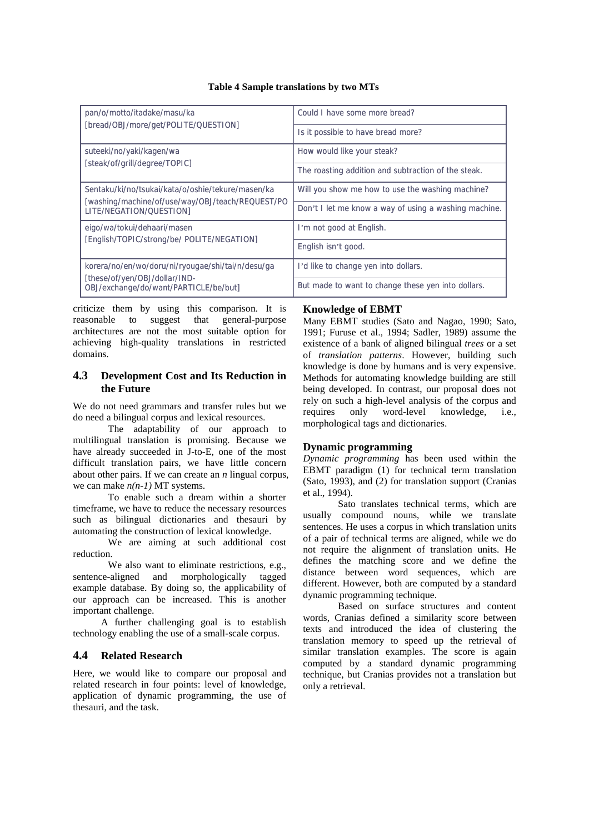#### **Table 4 Sample translations by two MTs**

| pan/o/motto/itadake/masu/ka                                                                                                      | Could I have some more bread?                                                                             |  |
|----------------------------------------------------------------------------------------------------------------------------------|-----------------------------------------------------------------------------------------------------------|--|
| [bread/OBJ/more/get/POLITE/QUESTION]                                                                                             | Is it possible to have bread more?                                                                        |  |
| suteeki/no/yaki/kagen/wa                                                                                                         | How would like your steak?                                                                                |  |
| [steak/of/grill/degree/TOPIC]                                                                                                    | The roasting addition and subtraction of the steak.                                                       |  |
| Sentaku/ki/no/tsukai/kata/o/oshie/tekure/masen/ka<br>[washing/machine/of/use/way/OBJ/teach/REQUEST/PO<br>LITE/NEGATION/QUESTION] | Will you show me how to use the washing machine?<br>Don't I let me know a way of using a washing machine. |  |
| eigo/wa/tokui/dehaari/masen                                                                                                      | I'm not good at English.                                                                                  |  |
| [English/TOPIC/strong/be/ POLITE/NEGATION]                                                                                       | English isn't good.                                                                                       |  |
| korera/no/en/wo/doru/ni/ryougae/shi/tai/n/desu/ga<br>[these/of/yen/OBJ/dollar/IND-<br>OBJ/exchange/do/want/PARTICLE/be/but]      | I'd like to change yen into dollars.<br>But made to want to change these yen into dollars.                |  |

criticize them by using this comparison. It is reasonable to suggest that general-purpose architectures are not the most suitable option for achieving high-quality translations in restricted domains.

# **4.3 Development Cost and Its Reduction in the Future**

We do not need grammars and transfer rules but we do need a bilingual corpus and lexical resources.

The adaptability of our approach to multilingual translation is promising. Because we have already succeeded in J-to-E, one of the most difficult translation pairs, we have little concern about other pairs. If we can create an *n* lingual corpus, we can make *n(n-1)* MT systems.

To enable such a dream within a shorter timeframe, we have to reduce the necessary resources such as bilingual dictionaries and thesauri by automating the construction of lexical knowledge.

We are aiming at such additional cost reduction.

We also want to eliminate restrictions, e.g., sentence-aligned and morphologically tagged example database. By doing so, the applicability of our approach can be increased. This is another important challenge.

A further challenging goal is to establish technology enabling the use of a small-scale corpus.

# **4.4 Related Research**

Here, we would like to compare our proposal and related research in four points: level of knowledge, application of dynamic programming, the use of thesauri, and the task.

#### **Knowledge of EBMT**

Many EBMT studies (Sato and Nagao, 1990; Sato, 1991; Furuse et al., 1994; Sadler, 1989) assume the existence of a bank of aligned bilingual *trees* or a set of *translation patterns*. However, building such knowledge is done by humans and is very expensive. Methods for automating knowledge building are still being developed. In contrast, our proposal does not rely on such a high-level analysis of the corpus and<br>requires only word-level knowledge, i.e., only word-level knowledge, i.e., morphological tags and dictionaries.

#### **Dynamic programming**

*Dynamic programming* has been used within the EBMT paradigm (1) for technical term translation (Sato, 1993), and (2) for translation support (Cranias et al., 1994).

Sato translates technical terms, which are usually compound nouns, while we translate sentences. He uses a corpus in which translation units of a pair of technical terms are aligned, while we do not require the alignment of translation units. He defines the matching score and we define the distance between word sequences, which are different. However, both are computed by a standard dynamic programming technique.

Based on surface structures and content words, Cranias defined a similarity score between texts and introduced the idea of clustering the translation memory to speed up the retrieval of similar translation examples. The score is again computed by a standard dynamic programming technique, but Cranias provides not a translation but only a retrieval.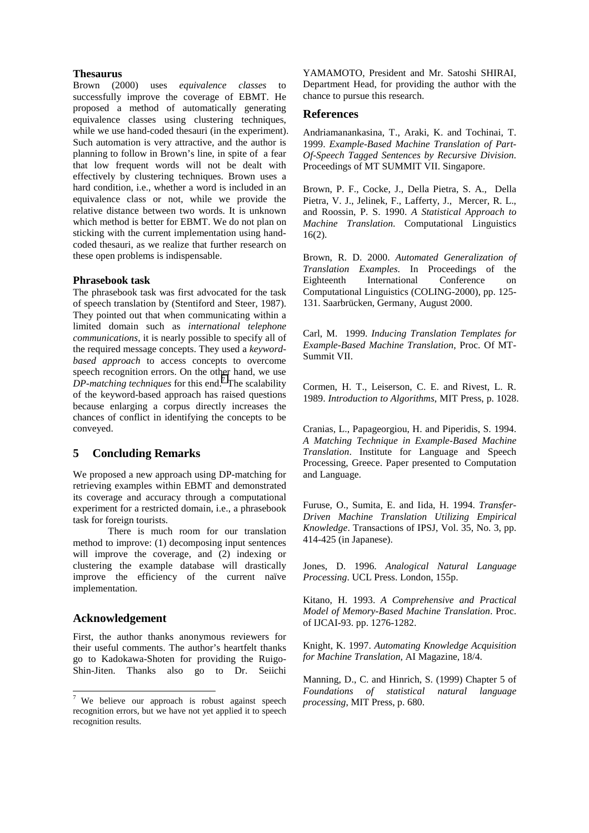#### **Thesaurus**

Brown (2000) uses *equivalence classes* to successfully improve the coverage of EBMT. He proposed a method of automatically generating equivalence classes using clustering techniques, while we use hand-coded thesauri (in the experiment). Such automation is very attractive, and the author is planning to follow in Brown's line, in spite of a fear that low frequent words will not be dealt with effectively by clustering techniques. Brown uses a hard condition, i.e., whether a word is included in an equivalence class or not, while we provide the relative distance between two words. It is unknown which method is better for EBMT. We do not plan on sticking with the current implementation using handcoded thesauri, as we realize that further research on these open problems is indispensable.

#### **Phrasebook task**

The phrasebook task was first advocated for the task of speech translation by (Stentiford and Steer, 1987). They pointed out that when communicating within a limited domain such as *international telephone communications*, it is nearly possible to specify all of the required message concepts. They used a *keywordbased approach* to access concepts to overcome speech recognition errors. On the other hand, we use  $DP$ -matching techniques for this end.<sup>7</sup> The scalability of the keyword-based approach has raised questions because enlarging a corpus directly increases the chances of conflict in identifying the concepts to be conveyed.

# **5 Concluding Remarks**

We proposed a new approach using DP-matching for retrieving examples within EBMT and demonstrated its coverage and accuracy through a computational experiment for a restricted domain, i.e., a phrasebook task for foreign tourists.

There is much room for our translation method to improve: (1) decomposing input sentences will improve the coverage, and  $(2)$  indexing or clustering the example database will drastically improve the efficiency of the current naïve implementation.

### **Acknowledgement**

l

First, the author thanks anonymous reviewers for their useful comments. The author's heartfelt thanks go to Kadokawa-Shoten for providing the Ruigo-Shin-Jiten. Thanks also go to Dr. Seiichi YAMAMOTO, President and Mr. Satoshi SHIRAI, Department Head, for providing the author with the chance to pursue this research.

#### **References**

Andriamanankasina, T., Araki, K. and Tochinai, T. 1999. *Example-Based Machine Translation of Part-Of-Speech Tagged Sentences by Recursive Division*. Proceedings of MT SUMMIT VII. Singapore.

Brown, P. F., Cocke, J., Della Pietra, S. A., Della Pietra, V. J., Jelinek, F., Lafferty, J., Mercer, R. L., and Roossin, P. S. 1990. *A Statistical Approach to Machine Translation*. Computational Linguistics 16(2).

Brown, R. D. 2000. *Automated Generalization of Translation Examples*. In Proceedings of the Eighteenth International Conference on Computational Linguistics (COLING-2000), pp. 125- 131. Saarbrücken, Germany, August 2000.

Carl, M. 1999. *Inducing Translation Templates for Example-Based Machine Translation*, Proc. Of MT-Summit VII.

Cormen, H. T., Leiserson, C. E. and Rivest, L. R. 1989. *Introduction to Algorithms*, MIT Press, p. 1028.

Cranias, L., Papageorgiou, H. and Piperidis, S. 1994. *A Matching Technique in Example-Based Machine Translation*. Institute for Language and Speech Processing, Greece. Paper presented to Computation and Language.

Furuse, O., Sumita, E. and Iida, H. 1994. *Transfer-Driven Machine Translation Utilizing Empirical Knowledge*. Transactions of IPSJ, Vol. 35, No. 3, pp. 414-425 (in Japanese).

Jones, D. 1996. *Analogical Natural Language Processing*. UCL Press. London, 155p.

Kitano, H. 1993. *A Comprehensive and Practical Model of Memory-Based Machine Translation*. Proc. of IJCAI-93. pp. 1276-1282.

Knight, K. 1997. *Automating Knowledge Acquisition for Machine Translation*, AI Magazine, 18/4.

Manning, D., C. and Hinrich, S. (1999) Chapter 5 of *Foundations of statistical natural language processing*, MIT Press, p. 680.

<sup>&</sup>lt;sup>7</sup> We believe our approach is robust against speech recognition errors, but we have not yet applied it to speech recognition results.